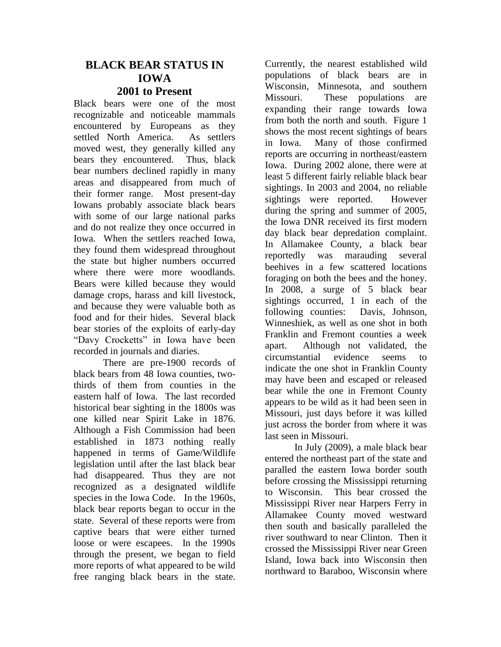## **BLACK BEAR STATUS IN IOWA 2001 to Present**

Black bears were one of the most recognizable and noticeable mammals encountered by Europeans as they settled North America. As settlers moved west, they generally killed any bears they encountered. Thus, black bear numbers declined rapidly in many areas and disappeared from much of their former range. Most present-day Iowans probably associate black bears with some of our large national parks and do not realize they once occurred in Iowa. When the settlers reached Iowa, they found them widespread throughout the state but higher numbers occurred where there were more woodlands. Bears were killed because they would damage crops, harass and kill livestock, and because they were valuable both as food and for their hides. Several black bear stories of the exploits of early-day "Davy Crocketts" in Iowa have been recorded in journals and diaries.

There are pre-1900 records of black bears from 48 Iowa counties, twothirds of them from counties in the eastern half of Iowa. The last recorded historical bear sighting in the 1800s was one killed near Spirit Lake in 1876. Although a Fish Commission had been established in 1873 nothing really happened in terms of Game/Wildlife legislation until after the last black bear had disappeared. Thus they are not recognized as a designated wildlife species in the Iowa Code. In the 1960s, black bear reports began to occur in the state. Several of these reports were from captive bears that were either turned loose or were escapees. In the 1990s through the present, we began to field more reports of what appeared to be wild free ranging black bears in the state.

Currently, the nearest established wild populations of black bears are in Wisconsin, Minnesota, and southern Missouri. These populations are expanding their range towards Iowa from both the north and south. Figure 1 shows the most recent sightings of bears in Iowa. Many of those confirmed reports are occurring in northeast/eastern Iowa. During 2002 alone, there were at least 5 different fairly reliable black bear sightings. In 2003 and 2004, no reliable sightings were reported. However during the spring and summer of 2005, the Iowa DNR received its first modern day black bear depredation complaint. In Allamakee County, a black bear reportedly was marauding several beehives in a few scattered locations foraging on both the bees and the honey. In 2008, a surge of 5 black bear sightings occurred, 1 in each of the following counties: Davis, Johnson, Winneshiek, as well as one shot in both Franklin and Fremont counties a week apart. Although not validated, the circumstantial evidence seems to indicate the one shot in Franklin County may have been and escaped or released bear while the one in Fremont County appears to be wild as it had been seen in Missouri, just days before it was killed just across the border from where it was last seen in Missouri.

In July (2009), a male black bear entered the northeast part of the state and paralled the eastern Iowa border south before crossing the Mississippi returning to Wisconsin. This bear crossed the Mississippi River near Harpers Ferry in Allamakee County moved westward then south and basically paralleled the river southward to near Clinton. Then it crossed the Mississippi River near Green Island, Iowa back into Wisconsin then northward to Baraboo, Wisconsin where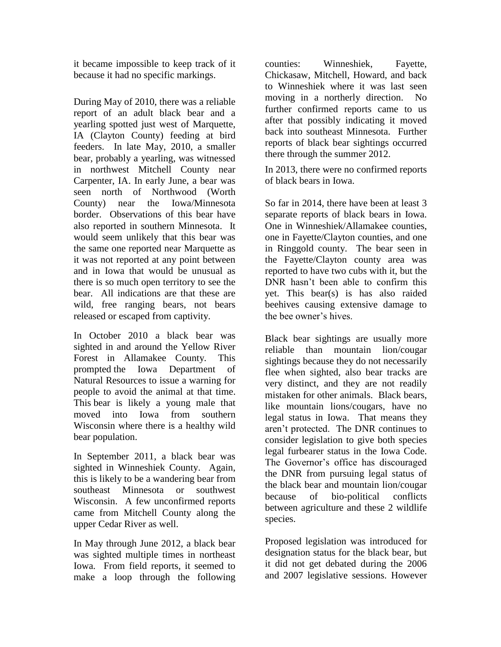it became impossible to keep track of it because it had no specific markings.

During May of 2010, there was a reliable report of an adult black bear and a yearling spotted just west of Marquette, IA (Clayton County) feeding at bird feeders. In late May, 2010, a smaller bear, probably a yearling, was witnessed in northwest Mitchell County near Carpenter, IA. In early June, a bear was seen north of Northwood (Worth County) near the Iowa/Minnesota border. Observations of this bear have also reported in southern Minnesota. It would seem unlikely that this bear was the same one reported near Marquette as it was not reported at any point between and in Iowa that would be unusual as there is so much open territory to see the bear. All indications are that these are wild, free ranging bears, not bears released or escaped from captivity.

In October 2010 a black bear was sighted in and around the Yellow River Forest in Allamakee County. This prompted the Iowa Department of Natural Resources to issue a warning for people to avoid the animal at that time. This bear is likely a young male that moved into Iowa from southern Wisconsin where there is a healthy wild bear population.

In September 2011, a black bear was sighted in Winneshiek County. Again, this is likely to be a wandering bear from southeast Minnesota or southwest Wisconsin. A few unconfirmed reports came from Mitchell County along the upper Cedar River as well.

In May through June 2012, a black bear was sighted multiple times in northeast Iowa. From field reports, it seemed to make a loop through the following

counties: Winneshiek, Fayette, Chickasaw, Mitchell, Howard, and back to Winneshiek where it was last seen moving in a northerly direction. No further confirmed reports came to us after that possibly indicating it moved back into southeast Minnesota. Further reports of black bear sightings occurred there through the summer 2012.

In 2013, there were no confirmed reports of black bears in Iowa.

So far in 2014, there have been at least 3 separate reports of black bears in Iowa. One in Winneshiek/Allamakee counties, one in Fayette/Clayton counties, and one in Ringgold county. The bear seen in the Fayette/Clayton county area was reported to have two cubs with it, but the DNR hasn't been able to confirm this yet. This bear(s) is has also raided beehives causing extensive damage to the bee owner's hives.

Black bear sightings are usually more reliable than mountain lion/cougar sightings because they do not necessarily flee when sighted, also bear tracks are very distinct, and they are not readily mistaken for other animals. Black bears, like mountain lions/cougars, have no legal status in Iowa. That means they aren't protected. The DNR continues to consider legislation to give both species legal furbearer status in the Iowa Code. The Governor's office has discouraged the DNR from pursuing legal status of the black bear and mountain lion/cougar because of bio-political conflicts between agriculture and these 2 wildlife species.

Proposed legislation was introduced for designation status for the black bear, but it did not get debated during the 2006 and 2007 legislative sessions. However